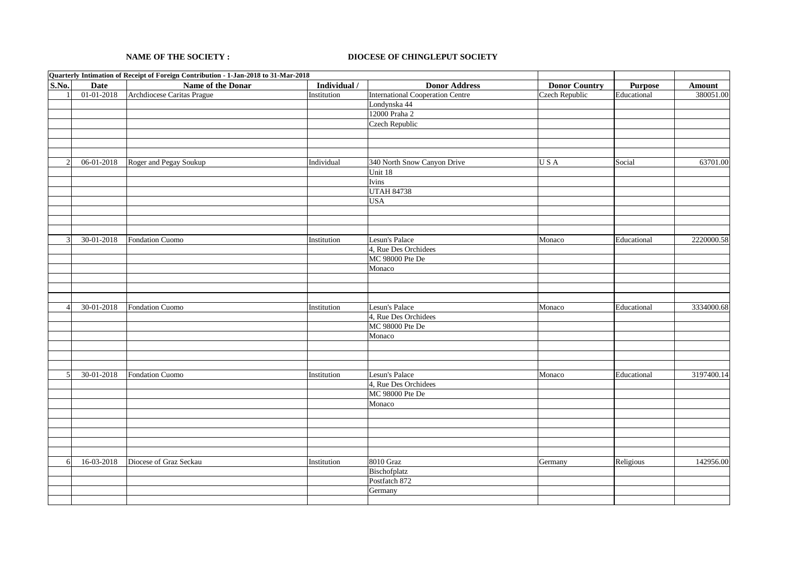## **NAME OF THE SOCIETY :**

## **DIOCESE OF CHINGLEPUT SOCIETY**

|               |             | Quarterly Intimation of Receipt of Foreign Contribution - 1-Jan-2018 to 31-Mar-2018 |              |                                         |                       |             |               |
|---------------|-------------|-------------------------------------------------------------------------------------|--------------|-----------------------------------------|-----------------------|-------------|---------------|
| S.No.         | <b>Date</b> | Name of the Donar                                                                   | Individual / | <b>Donor Address</b>                    | <b>Donor Country</b>  | Purpose     | <b>Amount</b> |
|               | 01-01-2018  | Archdiocese Caritas Prague                                                          | Institution  | <b>International Cooperation Centre</b> | <b>Czech Republic</b> | Educational | 380051.00     |
|               |             |                                                                                     |              | Londynska 44                            |                       |             |               |
|               |             |                                                                                     |              | 12000 Praha 2                           |                       |             |               |
|               |             |                                                                                     |              | Czech Republic                          |                       |             |               |
|               |             |                                                                                     |              |                                         |                       |             |               |
|               |             |                                                                                     |              |                                         |                       |             |               |
|               |             |                                                                                     |              |                                         |                       |             |               |
|               | 06-01-2018  | Roger and Pegay Soukup                                                              | Individual   | 340 North Snow Canyon Drive             | USA                   | Social      | 63701.00      |
|               |             |                                                                                     |              | Unit 18                                 |                       |             |               |
|               |             |                                                                                     |              | Ivins                                   |                       |             |               |
|               |             |                                                                                     |              | <b>UTAH 84738</b>                       |                       |             |               |
|               |             |                                                                                     |              | <b>USA</b>                              |                       |             |               |
|               |             |                                                                                     |              |                                         |                       |             |               |
|               |             |                                                                                     |              |                                         |                       |             |               |
|               |             |                                                                                     |              |                                         |                       |             |               |
| $\mathcal{R}$ | 30-01-2018  | Fondation Cuomo                                                                     | Institution  | Lesun's Palace                          | Monaco                | Educational | 2220000.58    |
|               |             |                                                                                     |              | 4, Rue Des Orchidees                    |                       |             |               |
|               |             |                                                                                     |              | MC 98000 Pte De                         |                       |             |               |
|               |             |                                                                                     |              | Monaco                                  |                       |             |               |
|               |             |                                                                                     |              |                                         |                       |             |               |
|               |             |                                                                                     |              |                                         |                       |             |               |
|               |             |                                                                                     |              |                                         |                       |             |               |
|               | 30-01-2018  | Fondation Cuomo                                                                     | Institution  | Lesun's Palace                          | Monaco                | Educational | 3334000.68    |
|               |             |                                                                                     |              | 4, Rue Des Orchidees                    |                       |             |               |
|               |             |                                                                                     |              | MC 98000 Pte De                         |                       |             |               |
|               |             |                                                                                     |              | Monaco                                  |                       |             |               |
|               |             |                                                                                     |              |                                         |                       |             |               |
|               |             |                                                                                     |              |                                         |                       |             |               |
|               |             |                                                                                     |              |                                         |                       |             |               |
| 5             | 30-01-2018  | Fondation Cuomo                                                                     | Institution  | Lesun's Palace                          | Monaco                | Educational | 3197400.14    |
|               |             |                                                                                     |              | 4, Rue Des Orchidees                    |                       |             |               |
|               |             |                                                                                     |              | MC 98000 Pte De                         |                       |             |               |
|               |             |                                                                                     |              |                                         |                       |             |               |
|               |             |                                                                                     |              | Monaco                                  |                       |             |               |
|               |             |                                                                                     |              |                                         |                       |             |               |
|               |             |                                                                                     |              |                                         |                       |             |               |
|               |             |                                                                                     |              |                                         |                       |             |               |
|               |             |                                                                                     |              |                                         |                       |             |               |
|               |             |                                                                                     |              |                                         |                       |             |               |
| 6             | 16-03-2018  | Diocese of Graz Seckau                                                              | Institution  | 8010 Graz                               | Germany               | Religious   | 142956.00     |
|               |             |                                                                                     |              | Bischofplatz                            |                       |             |               |
|               |             |                                                                                     |              | Postfatch 872                           |                       |             |               |
|               |             |                                                                                     |              | Germany                                 |                       |             |               |
|               |             |                                                                                     |              |                                         |                       |             |               |